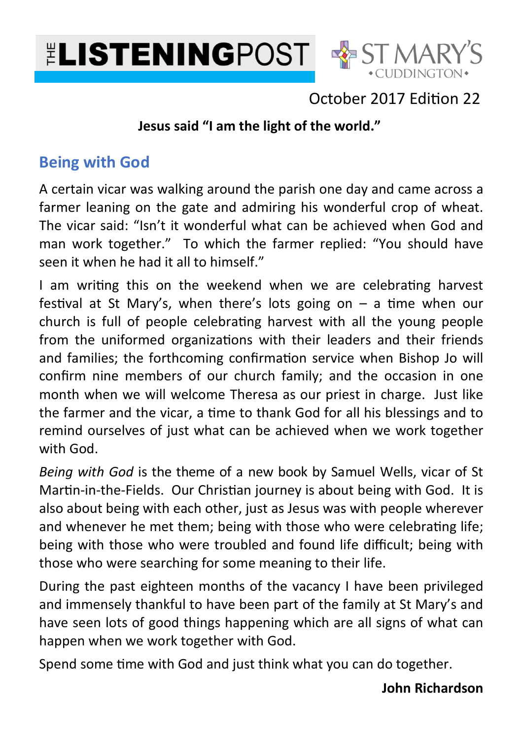



## October 2017 Edition 22

### **Jesus said "I am the light of the world."**

### **Being with God**

A certain vicar was walking around the parish one day and came across a farmer leaning on the gate and admiring his wonderful crop of wheat. The vicar said: "Isn't it wonderful what can be achieved when God and man work together." To which the farmer replied: "You should have seen it when he had it all to himself."

I am writing this on the weekend when we are celebrating harvest festival at St Mary's, when there's lots going on  $-$  a time when our church is full of people celebrating harvest with all the young people from the uniformed organizations with their leaders and their friends and families; the forthcoming confirmation service when Bishop Jo will confirm nine members of our church family; and the occasion in one month when we will welcome Theresa as our priest in charge. Just like the farmer and the vicar, a time to thank God for all his blessings and to remind ourselves of just what can be achieved when we work together with God.

*Being with God* is the theme of a new book by Samuel Wells, vicar of St Martin-in-the-Fields. Our Christian journey is about being with God. It is also about being with each other, just as Jesus was with people wherever and whenever he met them; being with those who were celebrating life; being with those who were troubled and found life difficult; being with those who were searching for some meaning to their life.

During the past eighteen months of the vacancy I have been privileged and immensely thankful to have been part of the family at St Mary's and have seen lots of good things happening which are all signs of what can happen when we work together with God.

Spend some time with God and just think what you can do together.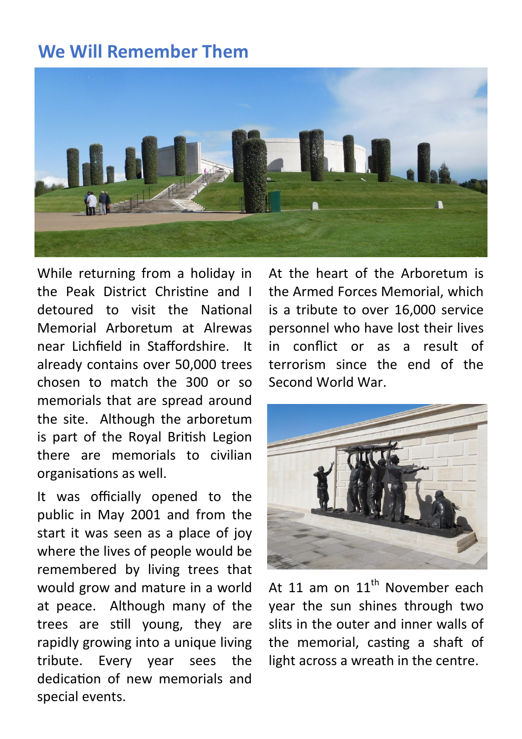# **We Will Remember Them**



While returning from a holiday in the Peak District Christine and I detoured to visit the National Memorial Arboretum at Alrewas near Lichfield in Staffordshire. It already contains over 50,000 trees chosen to match the 300 or so memorials that are spread around the site. Although the arboretum is part of the Roval British Legion there are memorials to civilian organisations as well.

It was officially opened to the public in May 2001 and from the start it was seen as a place of joy where the lives of people would be remembered by living trees that would grow and mature in a world at peace. Although many of the trees are still young, they are rapidly growing into a unique living tribute. Every year sees the dedication of new memorials and special events.

At the heart of the Arboretum is the Armed Forces Memorial, which is a tribute to over 16,000 service personnel who have lost their lives in conflict or as a result of terrorism since the end of the Second World War.



At 11 am on  $11<sup>th</sup>$  November each year the sun shines through two slits in the outer and inner walls of the memorial, casting a shaft of light across a wreath in the centre.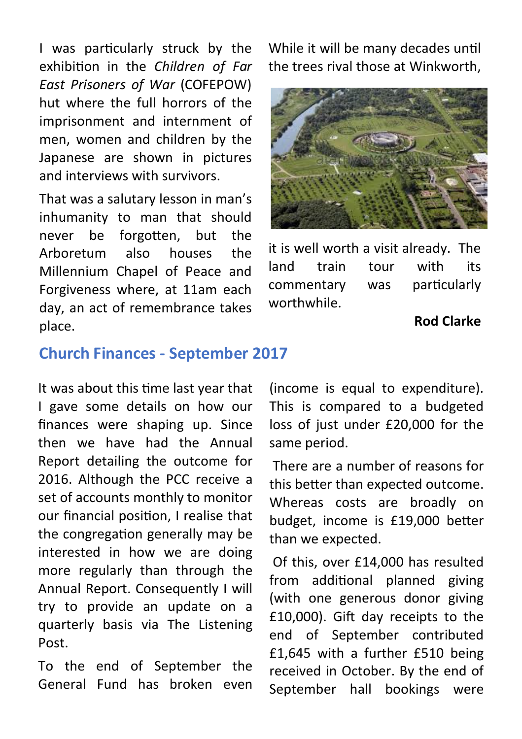I was particularly struck by the exhibion in the *Children of Far East Prisoners of War* (COFEPOW) hut where the full horrors of the imprisonment and internment of men, women and children by the Japanese are shown in pictures and interviews with survivors.

That was a salutary lesson in man's inhumanity to man that should never be forgotten, but the Arboretum also houses the Millennium Chapel of Peace and Forgiveness where, at 11am each day, an act of remembrance takes place.

While it will be many decades until the trees rival those at Winkworth,



it is well worth a visit already. The land train tour with its commentary was particularly worthwhile.

### **Rod Clarke**

### **Church Finances - September 2017**

It was about this time last year that I gave some details on how our finances were shaping up. Since then we have had the Annual Report detailing the outcome for 2016. Although the PCC receive a set of accounts monthly to monitor our financial position, I realise that the congregation generally may be interested in how we are doing more regularly than through the Annual Report. Consequently I will try to provide an update on a quarterly basis via The Listening Post.

To the end of September the General Fund has broken even (income is equal to expenditure). This is compared to a budgeted loss of just under £20,000 for the same period.

 There are a number of reasons for this better than expected outcome. Whereas costs are broadly on budget, income is £19,000 better than we expected.

 Of this, over £14,000 has resulted from additional planned giving (with one generous donor giving  $£10,000$ ). Gift day receipts to the end of September contributed £1,645 with a further £510 being received in October. By the end of September hall bookings were